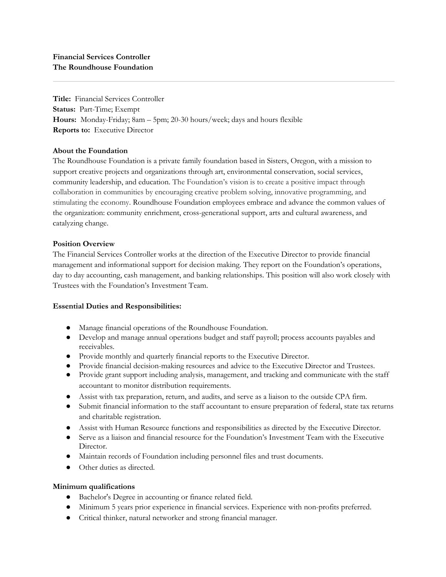**Title:** Financial Services Controller **Status:** Part-Time; Exempt **Hours:** Monday-Friday; 8am – 5pm; 20-30 hours/week; days and hours flexible **Reports to:** Executive Director

## **About the Foundation**

The Roundhouse Foundation is a private family foundation based in Sisters, Oregon, with a mission to support creative projects and organizations through art, environmental conservation, social services, community leadership, and education. The Foundation's vision is to create a positive impact through collaboration in communities by encouraging creative problem solving, innovative programming, and stimulating the economy. Roundhouse Foundation employees embrace and advance the common values of the organization: community enrichment, cross-generational support, arts and cultural awareness, and catalyzing change.

## **Position Overview**

The Financial Services Controller works at the direction of the Executive Director to provide financial management and informational support for decision making. They report on the Foundation's operations, day to day accounting, cash management, and banking relationships. This position will also work closely with Trustees with the Foundation's Investment Team.

## **Essential Duties and Responsibilities:**

- Manage financial operations of the Roundhouse Foundation.
- Develop and manage annual operations budget and staff payroll; process accounts payables and receivables.
- Provide monthly and quarterly financial reports to the Executive Director.
- Provide financial decision-making resources and advice to the Executive Director and Trustees.
- Provide grant support including analysis, management, and tracking and communicate with the staff accountant to monitor distribution requirements.
- Assist with tax preparation, return, and audits, and serve as a liaison to the outside CPA firm.
- Submit financial information to the staff accountant to ensure preparation of federal, state tax returns and charitable registration.
- Assist with Human Resource functions and responsibilities as directed by the Executive Director.
- Serve as a liaison and financial resource for the Foundation's Investment Team with the Executive Director.
- Maintain records of Foundation including personnel files and trust documents.
- Other duties as directed.

## **Minimum qualifications**

- Bachelor's Degree in accounting or finance related field.
- Minimum 5 years prior experience in financial services. Experience with non-profits preferred.
- Critical thinker, natural networker and strong financial manager.